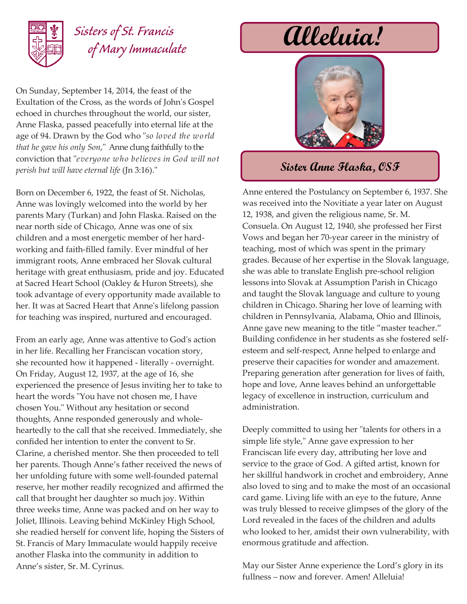

## *Sisters of St. Francis of Mary Immaculate*

On Sunday, September 14, 2014, the feast of the Exultation of the Cross, as the words of John's Gospel echoed in churches throughout the world, our sister, Anne Flaska, passed peacefully into eternal life at the age of 94. Drawn by the God who "*so loved the world that he gave his only Son*," Anne clung faithfully to the conviction that "*everyone who believes in God will not perish but will have eternal life* (Jn 3:16)."

Born on December 6, 1922, the feast of St. Nicholas, Anne was lovingly welcomed into the world by her parents Mary (Turkan) and John Flaska. Raised on the near north side of Chicago, Anne was one of six children and a most energetic member of her hardworking and faith-filled family. Ever mindful of her immigrant roots, Anne embraced her Slovak cultural heritage with great enthusiasm, pride and joy. Educated at Sacred Heart School (Oakley & Huron Streets), she took advantage of every opportunity made available to her. It was at Sacred Heart that Anne's lifelong passion for teaching was inspired, nurtured and encouraged.

From an early age, Anne was attentive to God's action in her life. Recalling her Franciscan vocation story, she recounted how it happened - literally - overnight. On Friday, August 12, 1937, at the age of 16, she experienced the presence of Jesus inviting her to take to heart the words "You have not chosen me, I have chosen You." Without any hesitation or second thoughts, Anne responded generously and wholeheartedly to the call that she received. Immediately, she confided her intention to enter the convent to Sr. Clarine, a cherished mentor. She then proceeded to tell her parents. Though Anne's father received the news of her unfolding future with some well-founded paternal reserve, her mother readily recognized and affirmed the call that brought her daughter so much joy. Within three weeks time, Anne was packed and on her way to Joliet, Illinois. Leaving behind McKinley High School, she readied herself for convent life, hoping the Sisters of St. Francis of Mary Immaculate would happily receive another Flaska into the community in addition to Anne's sister, Sr. M. Cyrinus.

**Alleluia!**



## **Sister Anne Flaska, OSF**

Anne entered the Postulancy on September 6, 1937. She was received into the Novitiate a year later on August 12, 1938, and given the religious name, Sr. M. Consuela. On August 12, 1940, she professed her First Vows and began her 70-year career in the ministry of teaching, most of which was spent in the primary grades. Because of her expertise in the Slovak language, she was able to translate English pre-school religion lessons into Slovak at Assumption Parish in Chicago and taught the Slovak language and culture to young children in Chicago. Sharing her love of learning with children in Pennsylvania, Alabama, Ohio and Illinois, Anne gave new meaning to the title "master teacher." Building confidence in her students as she fostered selfesteem and self-respect, Anne helped to enlarge and preserve their capacities for wonder and amazement. Preparing generation after generation for lives of faith, hope and love, Anne leaves behind an unforgettable legacy of excellence in instruction, curriculum and administration.

Deeply committed to using her "talents for others in a simple life style," Anne gave expression to her Franciscan life every day, attributing her love and service to the grace of God. A gifted artist, known for her skillful handwork in crochet and embroidery, Anne also loved to sing and to make the most of an occasional card game. Living life with an eye to the future, Anne was truly blessed to receive glimpses of the glory of the Lord revealed in the faces of the children and adults who looked to her, amidst their own vulnerability, with enormous gratitude and affection.

May our Sister Anne experience the Lord's glory in its fullness – now and forever. Amen! Alleluia!